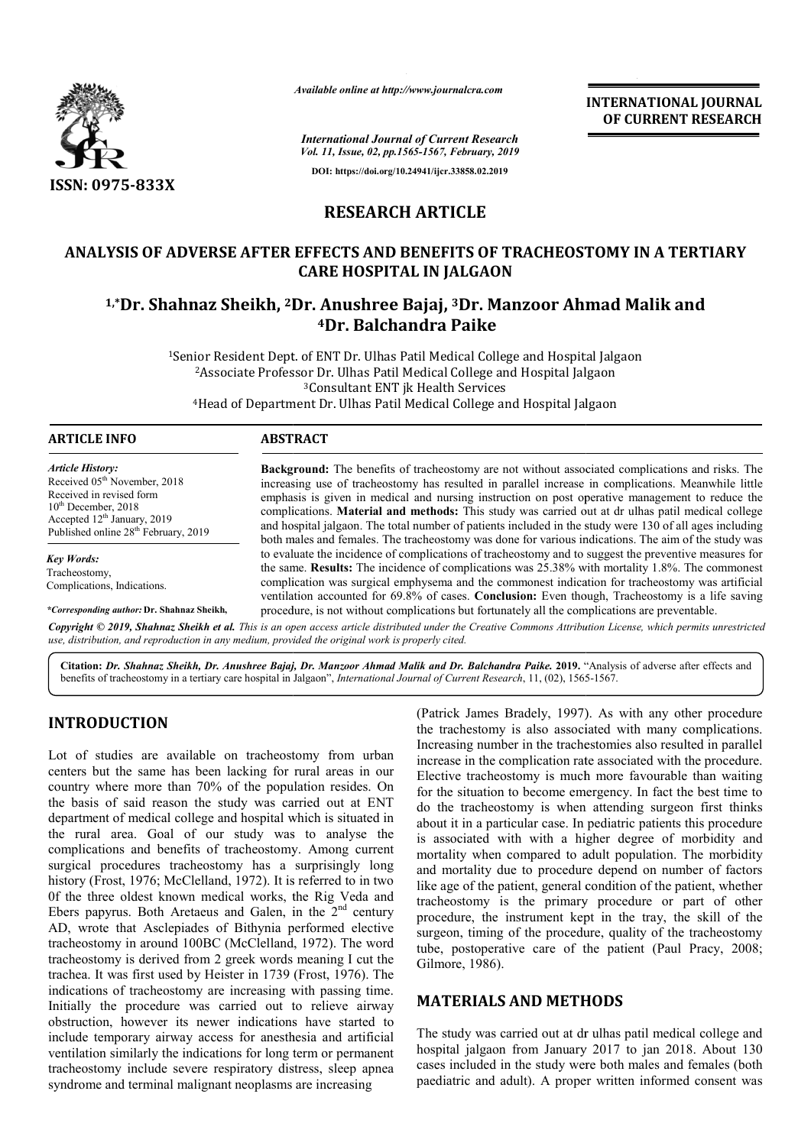

*Available online at http://www.journalcra.com*

*International Journal of Current Research Vol. 11, Issue, 02, pp.1565-1567, February, 2019* **DOI: https://doi.org/10.24941/ijcr.33858.02.2019**

**INTERNATIONAL JOURNAL OF CURRENT RESEARCH**

### **RESEARCH ARTICLE**

## **ANALYSIS OF ADVERSE AFTER EFFECTS AND BENEFITS OF TRACHEOSTOMY IN A TERTIARY**  YSIS OF ADVERSE AFTER EFFECTS AND BENEFITS OF TRACHEOSTOMY IN A TERT.<br>CARE HOSPITAL IN JALGAON<br><sup>1,</sup>\*Dr. Shahnaz Sheikh, <sup>2</sup>Dr. Anushree Bajaj, <sup>3</sup>Dr. Manzoor Ahmad Malik and **CARE HOSPITAL IN JALGAON**

# **4Dr. Balchandra Paike**

<sup>1</sup>Senior Resident Dept. of ENT Dr. Ulhas Patil Medical College and Hospital Jalgaon <sup>2</sup>Associate Professor Dr. Ulhas Patil Medical College and Hospital Jalgaon <sup>3</sup>Consultant ENT jk Health Services <sup>4</sup>Head of Department Dr. Ulhas Patil Medical College and Hospital Jalgaon

*Article History:* Received 05<sup>th</sup> November, 2018 Received in revised form 10<sup>th</sup> December, 2018 Accepted 12<sup>th</sup> January, 2019 Published online  $28<sup>th</sup>$  February, 2019

*Key Words:* Tracheostomy, Complications, Indications.

*\*Corresponding author:* **Dr. Shahnaz Sheikh,**

**Background:** The benefits of tracheostomy are not without associated complications and risks. The increasing use of tracheostomy has resulted in parallel increase in complications. Meanwhile little emphasis is given in medical and nursing instruction on post operative management to reduce the complications. **Material and methods:** This study was carried out at dr ulhas patil medical college and hospital jalgaon. The total number of patients included in the study were 130 of all ages including both males and fe females. The tracheostomy was done for various indications. The aim of the study was to evaluate the incidence of complications of tracheostomy and to suggest the preventive measures for the same. **Results:** The incidence of complications was 25.38% with morta complication was surgical emphysema and the commonest indication for tracheostomy was artificial ventilation accounted for 69.8% of cases. **Conclusion:** Even though, Tracheostomy is a life saving procedure, is not without complications but fortunately all the complications are preventable. **Background:** The benefits of tracheostomy are not without associated complications and risks. The increasing use of tracheostomy has resulted in parallel increase in complications. Meanwhile little emphasis is given in me complication was surgical emphysema and the commonest indication for tracheostomy was artificial ventilation accounted for 69.8% of cases. Conclusion: Even though, Tracheostomy is a life saving procedure, is not without co

Copyright © 2019, Shahnaz Sheikh et al. This is an open access article distributed under the Creative Commons Attribution License, which permits unrestrictea *use, distribution, and reproduction in any medium, provided the original work is properly cited.*

**Citation:** *Dr. Shahnaz Sheikh, Dr. Anushree Bajaj, Dr. Manzoor Ahmad Malik and Dr. Balchandra Paike Paike.* **2019.** " "Analysis of adverse after effects and benefits of tracheostomy in a tertiary care hospital in Jalgaon", *International Journal of Current Research*, 11, (02), 1565 1565-1567.

#### **INTRODUCTION**

Lot of studies are available on tracheostomy from urban centers but the same has been lacking for rural areas in our country where more than 70% of the population resides. On the basis of said reason the study was carried out at ENT department of medical college and hospital which is situated in the rural area. Goal of our study was to analyse the complications and benefits of tracheostomy. Among current surgical procedures tracheostomy has a surprisingly long history (Frost, 1976; McClelland, 1972). It is referred to in two 0f the three oldest known medical works, the Rig Veda and department of medical college and hospital which is situated in<br>the rural area. Goal of our study was to analyse the<br>complications and benefits of tracheostomy. Among current<br>surgical procedures tracheostomy has a surpris AD, wrote that Asclepiades of Bithynia performed elective tracheostomy in around 100BC (McClelland, 1972). The word tracheostomy is derived from 2 greek words meaning I cut the trachea. It was first used by Heister in 1739 (Frost, 1976). The indications of tracheostomy are increasing with passing time. Initially the procedure was carried out to relieve airway obstruction, however its newer indications have started to include temporary airway access for anesthesia and artificial ventilation similarly the indications for long term or permanent tracheostomy include severe respiratory distress, sleep apnea syndrome and terminal malignant neoplasms are increasing out to relieve airway<br>cations have started to<br>anesthesia and artificial **FION**<br>
(Patrick James Bradely, 1997)<br>
the tracheostomy from urban<br>
the tracheostomy is also associated<br>
same has been lacking for rural areas in our<br>
Increasing number in the tracheostomy is smc<br>
are then a TO% of the po

the trachestomy is also associated with many complications. Increasing number in the trachestomies also resulted in parallel increase in the complication rate associated with the procedure. Elective tracheostomy is much more favourable than waiting the trachestomy is also associated with many complications.<br>Increasing number in the trachestomies also resulted in parallel<br>increase in the complication rate associated with the procedure.<br>Elective tracheostomy is much mo do the tracheostomy is when attending surgeon first thinks about it in a particular case. In pediatric patients this procedure is associated with with a higher degree of morbidity and mortality when compared to adult population. The morbidity and mortality due to procedure depend on number of factors like age of the patient, general condition of the patient, whether tracheostomy is the primary procedure or part of other tracheostomy is the primary procedure or part of other procedure, the instrument kept in the tray, the skill of the surgeon, timing of the procedure, quality of the tracheostomy tube, postoperative care of the patient (Paul Pracy, 2008; Gilmore, 1986). (Patrick James Bradely, 1997). As with any other procedure the tracheostomy is when attending surgeon first thinks at it it in a particular case. In pediatric patients this procedure ssociated with with a higher degree of morbidity and ality when compared to adult population. The **INTERNATIONAL JOURNAL**<br> **OF CURRENT RESEARCH**<br> **OF CURRENT RESEARCH**<br> **OF CURRENT RESEARCH**<br> **COOT Ahmad Malik and**<br>
and Hospital Jalgaon<br>
Hospital Jalgaon<br>
Hospital Jalgaon<br>
Hospital Jalgaon<br>
Hospital Jalgaon<br>
Hospital

#### **MATERIALS AND METHODS METHODS**

The study was carried out at dr ulhas patil medical college and hospital jalgaon from January 2017 to jan 2018. About 130 cases included in the study were both males and females paediatric and adult). A proper written informed consent was study was carried out at dr ulhas patil medical college and<br>ital jalgaon from January 2017 to jan 2018. About 130<br>s included in the study were both males and females (both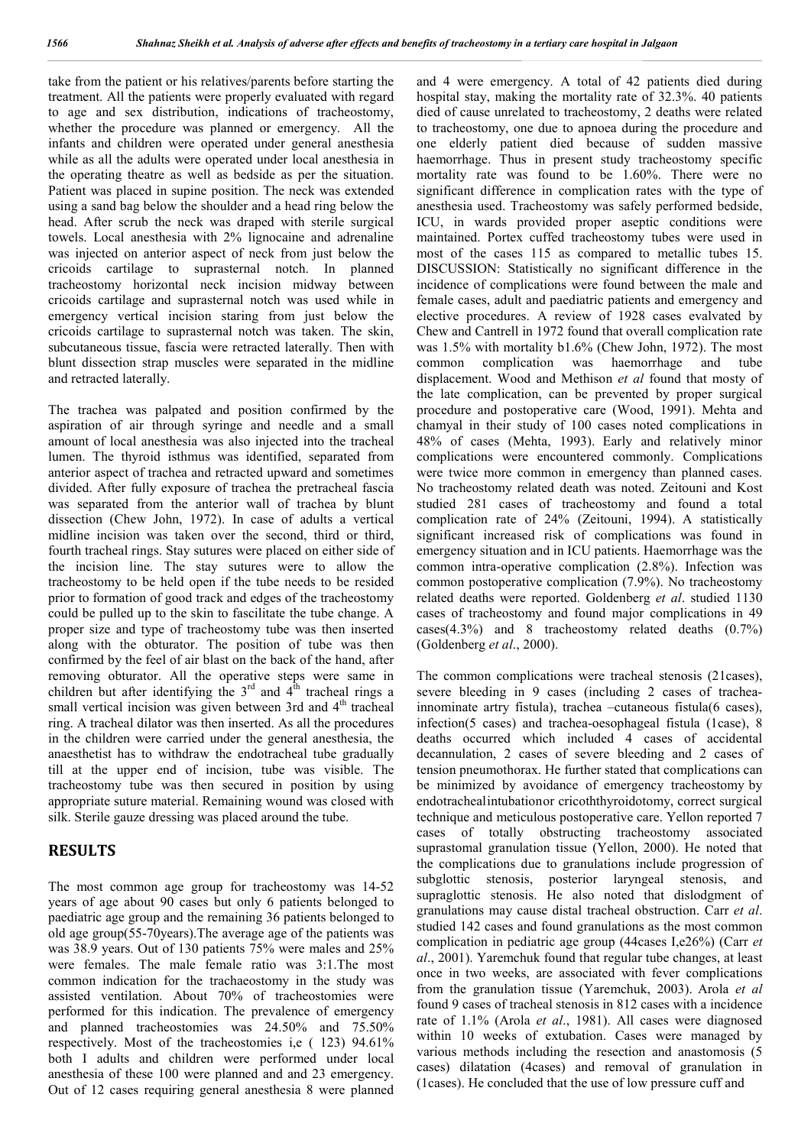take from the patient or his relatives/parents before starting the treatment. All the patients were properly evaluated with regard to age and sex distribution, indications of tracheostomy, whether the procedure was planned or emergency. All the infants and children were operated under general anesthesia while as all the adults were operated under local anesthesia in the operating theatre as well as bedside as per the situation. Patient was placed in supine position. The neck was extended using a sand bag below the shoulder and a head ring below the head. After scrub the neck was draped with sterile surgical towels. Local anesthesia with 2% lignocaine and adrenaline was injected on anterior aspect of neck from just below the cricoids cartilage to suprasternal notch. In planned tracheostomy horizontal neck incision midway between cricoids cartilage and suprasternal notch was used while in emergency vertical incision staring from just below the cricoids cartilage to suprasternal notch was taken. The skin, subcutaneous tissue, fascia were retracted laterally. Then with blunt dissection strap muscles were separated in the midline and retracted laterally.

The trachea was palpated and position confirmed by the aspiration of air through syringe and needle and a small amount of local anesthesia was also injected into the tracheal lumen. The thyroid isthmus was identified, separated from anterior aspect of trachea and retracted upward and sometimes divided. After fully exposure of trachea the pretracheal fascia was separated from the anterior wall of trachea by blunt dissection (Chew John, 1972). In case of adults a vertical midline incision was taken over the second, third or third, fourth tracheal rings. Stay sutures were placed on either side of the incision line. The stay sutures were to allow the tracheostomy to be held open if the tube needs to be resided prior to formation of good track and edges of the tracheostomy could be pulled up to the skin to fascilitate the tube change. A proper size and type of tracheostomy tube was then inserted along with the obturator. The position of tube was then confirmed by the feel of air blast on the back of the hand, after removing obturator. All the operative steps were same in children but after identifying the  $3<sup>rd</sup>$  and  $4<sup>th</sup>$  tracheal rings a small vertical incision was given between 3rd and 4<sup>th</sup> tracheal ring. A tracheal dilator was then inserted. As all the procedures in the children were carried under the general anesthesia, the anaesthetist has to withdraw the endotracheal tube gradually till at the upper end of incision, tube was visible. The tracheostomy tube was then secured in position by using appropriate suture material. Remaining wound was closed with silk. Sterile gauze dressing was placed around the tube.

#### **RESULTS**

The most common age group for tracheostomy was 14-52 years of age about 90 cases but only 6 patients belonged to paediatric age group and the remaining 36 patients belonged to old age group(55-70years).The average age of the patients was was 38.9 years. Out of 130 patients 75% were males and 25% were females. The male female ratio was 3:1.The most common indication for the trachaeostomy in the study was assisted ventilation. About 70% of tracheostomies were performed for this indication. The prevalence of emergency and planned tracheostomies was 24.50% and 75.50% respectively. Most of the tracheostomies i,e ( 123) 94.61% both I adults and children were performed under local anesthesia of these 100 were planned and and 23 emergency. Out of 12 cases requiring general anesthesia 8 were planned and 4 were emergency. A total of 42 patients died during hospital stay, making the mortality rate of 32.3%. 40 patients died of cause unrelated to tracheostomy, 2 deaths were related to tracheostomy, one due to apnoea during the procedure and one elderly patient died because of sudden massive haemorrhage. Thus in present study tracheostomy specific mortality rate was found to be 1.60%. There were no significant difference in complication rates with the type of anesthesia used. Tracheostomy was safely performed bedside, ICU, in wards provided proper aseptic conditions were maintained. Portex cuffed tracheostomy tubes were used in most of the cases 115 as compared to metallic tubes 15. DISCUSSION: Statistically no significant difference in the incidence of complications were found between the male and female cases, adult and paediatric patients and emergency and elective procedures. A review of 1928 cases evalvated by Chew and Cantrell in 1972 found that overall complication rate was 1.5% with mortality b1.6% (Chew John, 1972). The most common complication was haemorrhage and tube displacement. Wood and Methison *et al* found that mosty of the late complication, can be prevented by proper surgical procedure and postoperative care (Wood, 1991). Mehta and chamyal in their study of 100 cases noted complications in 48% of cases (Mehta, 1993). Early and relatively minor complications were encountered commonly. Complications were twice more common in emergency than planned cases. No tracheostomy related death was noted. Zeitouni and Kost studied 281 cases of tracheostomy and found a total complication rate of 24% (Zeitouni, 1994). A statistically significant increased risk of complications was found in emergency situation and in ICU patients. Haemorrhage was the common intra-operative complication (2.8%). Infection was common postoperative complication (7.9%). No tracheostomy related deaths were reported. Goldenberg *et al*. studied 1130 cases of tracheostomy and found major complications in 49 cases(4.3%) and 8 tracheostomy related deaths (0.7%) (Goldenberg *et al*., 2000).

The common complications were tracheal stenosis (21cases), severe bleeding in 9 cases (including 2 cases of tracheainnominate artry fistula), trachea –cutaneous fistula(6 cases), infection(5 cases) and trachea-oesophageal fistula (1case), 8 deaths occurred which included 4 cases of accidental decannulation, 2 cases of severe bleeding and 2 cases of tension pneumothorax. He further stated that complications can be minimized by avoidance of emergency tracheostomy by endotrachealintubationor cricoththyroidotomy, correct surgical technique and meticulous postoperative care. Yellon reported 7 cases of totally obstructing tracheostomy associated suprastomal granulation tissue (Yellon, 2000). He noted that the complications due to granulations include progression of subglottic stenosis, posterior laryngeal stenosis, and supraglottic stenosis. He also noted that dislodgment of granulations may cause distal tracheal obstruction. Carr *et al*. studied 142 cases and found granulations as the most common complication in pediatric age group (44cases I,e26%) (Carr *et al*., 2001). Yaremchuk found that regular tube changes, at least once in two weeks, are associated with fever complications from the granulation tissue (Yaremchuk, 2003). Arola *et al* found 9 cases of tracheal stenosis in 812 cases with a incidence rate of 1.1% (Arola *et al*., 1981). All cases were diagnosed within 10 weeks of extubation. Cases were managed by various methods including the resection and anastomosis (5 cases) dilatation (4cases) and removal of granulation in (1cases). He concluded that the use of low pressure cuff and